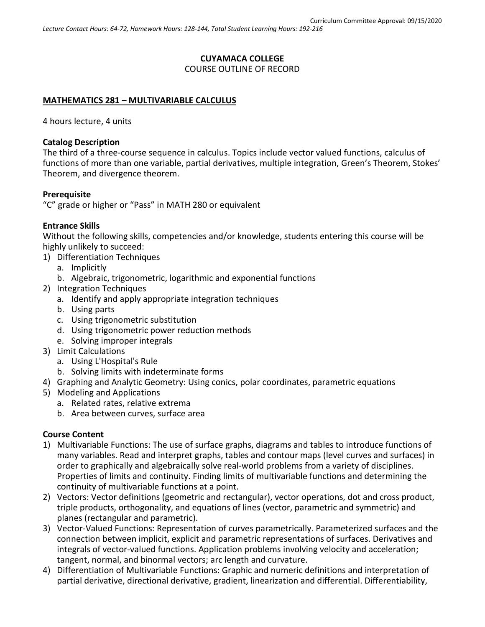# **CUYAMACA COLLEGE** COURSE OUTLINE OF RECORD

# **MATHEMATICS 281 – MULTIVARIABLE CALCULUS**

4 hours lecture, 4 units

# **Catalog Description**

The third of a three-course sequence in calculus. Topics include vector valued functions, calculus of functions of more than one variable, partial derivatives, multiple integration, Green's Theorem, Stokes' Theorem, and divergence theorem.

# **Prerequisite**

"C" grade or higher or "Pass" in MATH 280 or equivalent

#### **Entrance Skills**

Without the following skills, competencies and/or knowledge, students entering this course will be highly unlikely to succeed:

- 1) Differentiation Techniques
	- a. Implicitly
	- b. Algebraic, trigonometric, logarithmic and exponential functions
- 2) Integration Techniques
	- a. Identify and apply appropriate integration techniques
	- b. Using parts
	- c. Using trigonometric substitution
	- d. Using trigonometric power reduction methods
	- e. Solving improper integrals
- 3) Limit Calculations
	- a. Using L'Hospital's Rule
	- b. Solving limits with indeterminate forms
- 4) Graphing and Analytic Geometry: Using conics, polar coordinates, parametric equations
- 5) Modeling and Applications
	- a. Related rates, relative extrema
	- b. Area between curves, surface area

# **Course Content**

- 1) Multivariable Functions: The use of surface graphs, diagrams and tables to introduce functions of many variables. Read and interpret graphs, tables and contour maps (level curves and surfaces) in order to graphically and algebraically solve real-world problems from a variety of disciplines. Properties of limits and continuity. Finding limits of multivariable functions and determining the continuity of multivariable functions at a point.
- 2) Vectors: Vector definitions (geometric and rectangular), vector operations, dot and cross product, triple products, orthogonality, and equations of lines (vector, parametric and symmetric) and planes (rectangular and parametric).
- 3) Vector-Valued Functions: Representation of curves parametrically. Parameterized surfaces and the connection between implicit, explicit and parametric representations of surfaces. Derivatives and integrals of vector-valued functions. Application problems involving velocity and acceleration; tangent, normal, and binormal vectors; arc length and curvature.
- 4) Differentiation of Multivariable Functions: Graphic and numeric definitions and interpretation of partial derivative, directional derivative, gradient, linearization and differential. Differentiability,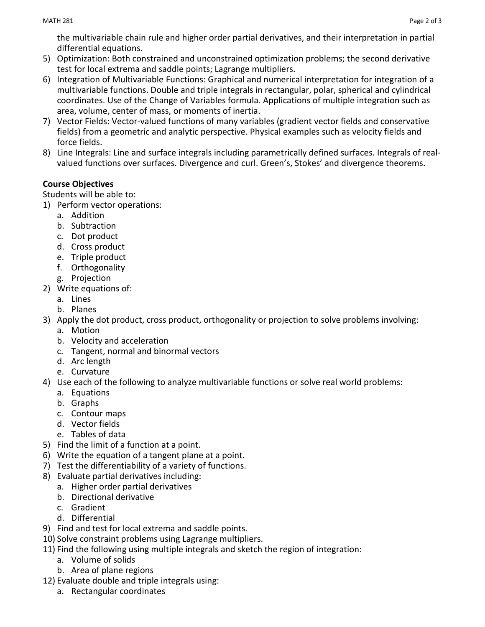the multivariable chain rule and higher order partial derivatives, and their interpretation in partial differential equations.

- 5) Optimization: Both constrained and unconstrained optimization problems; the second derivative test for local extrema and saddle points; Lagrange multipliers.
- 6) Integration of Multivariable Functions: Graphical and numerical interpretation for integration of a multivariable functions. Double and triple integrals in rectangular, polar, spherical and cylindrical coordinates. Use of the Change of Variables formula. Applications of multiple integration such as area, volume, center of mass, or moments of inertia.
- 7) Vector Fields: Vector-valued functions of many variables (gradient vector fields and conservative fields) from a geometric and analytic perspective. Physical examples such as velocity fields and force fields.
- 8) Line Integrals: Line and surface integrals including parametrically defined surfaces. Integrals of realvalued functions over surfaces. Divergence and curl. Green's, Stokes' and divergence theorems.

# **Course Objectives**

Students will be able to:

- 1) Perform vector operations:
	- a. Addition
	- b. Subtraction
	- c. Dot product
	- d. Cross product
	- e. Triple product
	- f. Orthogonality
	- g. Projection
- 2) Write equations of:
	- a. Lines
	- b. Planes
- 3) Apply the dot product, cross product, orthogonality or projection to solve problems involving:
	- a. Motion
	- b. Velocity and acceleration
	- c. Tangent, normal and binormal vectors
	- d. Arc length
	- e. Curvature
- 4) Use each of the following to analyze multivariable functions or solve real world problems:
	- a. Equations
	- b. Graphs
	- c. Contour maps
	- d. Vector fields
	- e. Tables of data
- 5) Find the limit of a function at a point.
- 6) Write the equation of a tangent plane at a point.
- 7) Test the differentiability of a variety of functions.
- 8) Evaluate partial derivatives including:
	- a. Higher order partial derivatives
	- b. Directional derivative
	- c. Gradient
	- d. Differential
- 9) Find and test for local extrema and saddle points.
- 10) Solve constraint problems using Lagrange multipliers.
- 11) Find the following using multiple integrals and sketch the region of integration:
	- a. Volume of solids
	- b. Area of plane regions
- 12) Evaluate double and triple integrals using:
	- a. Rectangular coordinates